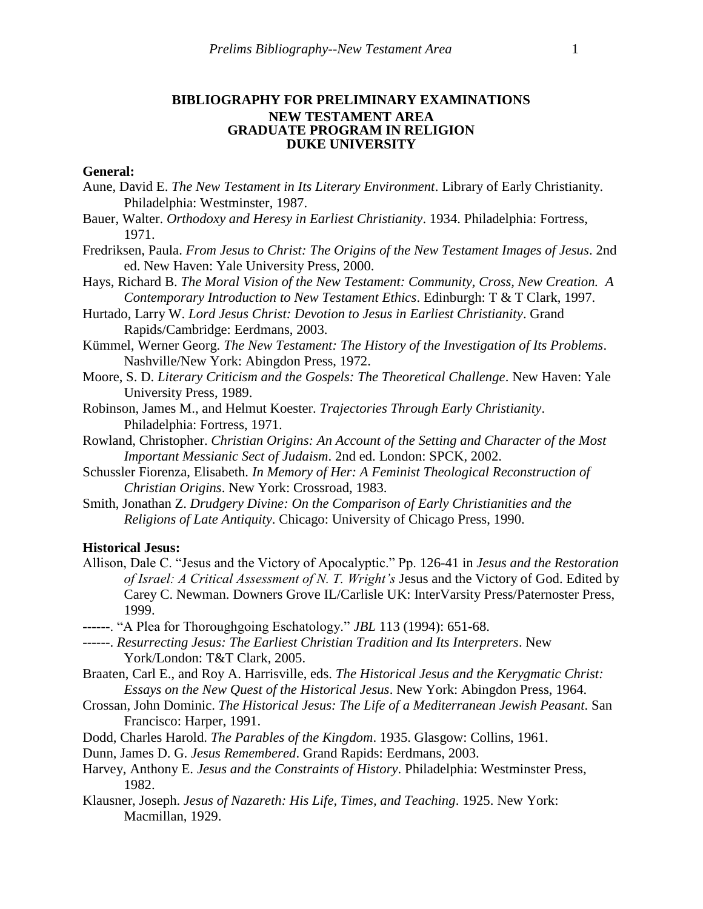# **BIBLIOGRAPHY FOR PRELIMINARY EXAMINATIONS NEW TESTAMENT AREA GRADUATE PROGRAM IN RELIGION DUKE UNIVERSITY**

# **General:**

- Aune, David E. *The New Testament in Its Literary Environment*. Library of Early Christianity. Philadelphia: Westminster, 1987.
- Bauer, Walter. *Orthodoxy and Heresy in Earliest Christianity*. 1934. Philadelphia: Fortress, 1971.
- Fredriksen, Paula. *From Jesus to Christ: The Origins of the New Testament Images of Jesus*. 2nd ed. New Haven: Yale University Press, 2000.
- Hays, Richard B. *The Moral Vision of the New Testament: Community, Cross, New Creation. A Contemporary Introduction to New Testament Ethics*. Edinburgh: T & T Clark, 1997.
- Hurtado, Larry W. *Lord Jesus Christ: Devotion to Jesus in Earliest Christianity*. Grand Rapids/Cambridge: Eerdmans, 2003.
- Kümmel, Werner Georg. *The New Testament: The History of the Investigation of Its Problems*. Nashville/New York: Abingdon Press, 1972.
- Moore, S. D. *Literary Criticism and the Gospels: The Theoretical Challenge*. New Haven: Yale University Press, 1989.
- Robinson, James M., and Helmut Koester. *Trajectories Through Early Christianity*. Philadelphia: Fortress, 1971.
- Rowland, Christopher. *Christian Origins: An Account of the Setting and Character of the Most Important Messianic Sect of Judaism*. 2nd ed. London: SPCK, 2002.
- Schussler Fiorenza, Elisabeth. *In Memory of Her: A Feminist Theological Reconstruction of Christian Origins*. New York: Crossroad, 1983.
- Smith, Jonathan Z. *Drudgery Divine: On the Comparison of Early Christianities and the Religions of Late Antiquity*. Chicago: University of Chicago Press, 1990.

### **Historical Jesus:**

- Allison, Dale C. "Jesus and the Victory of Apocalyptic." Pp. 126-41 in *Jesus and the Restoration of Israel: A Critical Assessment of N. T. Wright's* Jesus and the Victory of God. Edited by Carey C. Newman. Downers Grove IL/Carlisle UK: InterVarsity Press/Paternoster Press, 1999.
- ------. "A Plea for Thoroughgoing Eschatology." *JBL* 113 (1994): 651-68.
- ------. *Resurrecting Jesus: The Earliest Christian Tradition and Its Interpreters*. New York/London: T&T Clark, 2005.
- Braaten, Carl E., and Roy A. Harrisville, eds. *The Historical Jesus and the Kerygmatic Christ: Essays on the New Quest of the Historical Jesus*. New York: Abingdon Press, 1964.
- Crossan, John Dominic. *The Historical Jesus: The Life of a Mediterranean Jewish Peasant*. San Francisco: Harper, 1991.
- Dodd, Charles Harold. *The Parables of the Kingdom*. 1935. Glasgow: Collins, 1961.
- Dunn, James D. G. *Jesus Remembered*. Grand Rapids: Eerdmans, 2003.
- Harvey, Anthony E. *Jesus and the Constraints of History*. Philadelphia: Westminster Press, 1982.
- Klausner, Joseph. *Jesus of Nazareth: His Life, Times, and Teaching*. 1925. New York: Macmillan, 1929.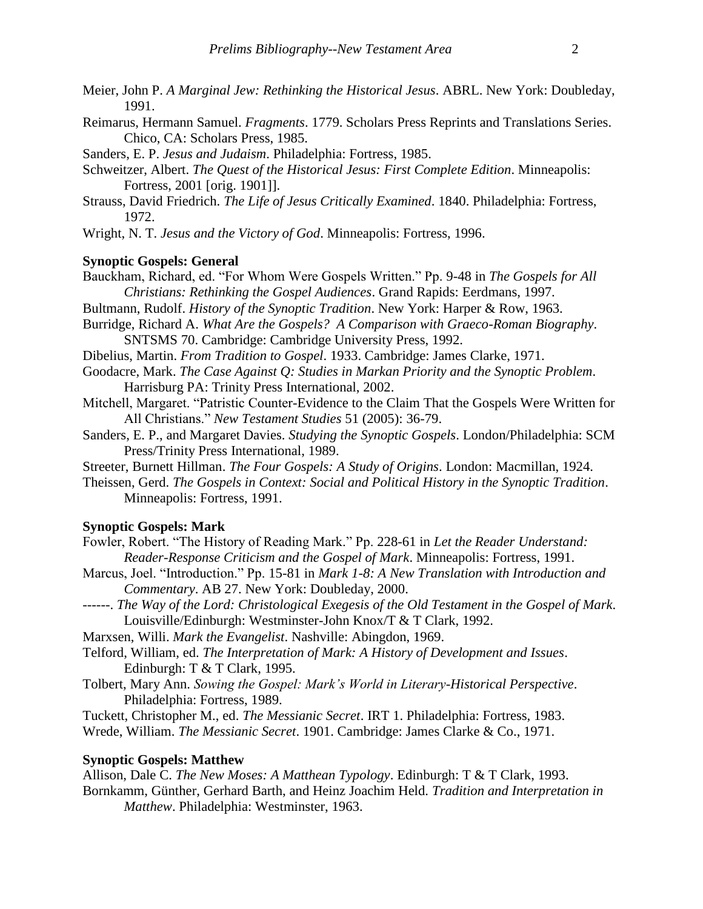- Meier, John P. *A Marginal Jew: Rethinking the Historical Jesus*. ABRL. New York: Doubleday, 1991.
- Reimarus, Hermann Samuel. *Fragments*. 1779. Scholars Press Reprints and Translations Series. Chico, CA: Scholars Press, 1985.
- Sanders, E. P. *Jesus and Judaism*. Philadelphia: Fortress, 1985.
- Schweitzer, Albert. *The Quest of the Historical Jesus: First Complete Edition*. Minneapolis: Fortress, 2001 [orig. 1901]].
- Strauss, David Friedrich. *The Life of Jesus Critically Examined*. 1840. Philadelphia: Fortress, 1972.
- Wright, N. T. *Jesus and the Victory of God*. Minneapolis: Fortress, 1996.

### **Synoptic Gospels: General**

- Bauckham, Richard, ed. "For Whom Were Gospels Written." Pp. 9-48 in *The Gospels for All Christians: Rethinking the Gospel Audiences*. Grand Rapids: Eerdmans, 1997.
- Bultmann, Rudolf. *History of the Synoptic Tradition*. New York: Harper & Row, 1963.
- Burridge, Richard A. *What Are the Gospels? A Comparison with Graeco-Roman Biography*. SNTSMS 70. Cambridge: Cambridge University Press, 1992.
- Dibelius, Martin. *From Tradition to Gospel*. 1933. Cambridge: James Clarke, 1971.
- Goodacre, Mark. *The Case Against Q: Studies in Markan Priority and the Synoptic Problem*. Harrisburg PA: Trinity Press International, 2002.
- Mitchell, Margaret. "Patristic Counter-Evidence to the Claim That the Gospels Were Written for All Christians." *New Testament Studies* 51 (2005): 36-79.
- Sanders, E. P., and Margaret Davies. *Studying the Synoptic Gospels*. London/Philadelphia: SCM Press/Trinity Press International, 1989.
- Streeter, Burnett Hillman. *The Four Gospels: A Study of Origins*. London: Macmillan, 1924.
- Theissen, Gerd. *The Gospels in Context: Social and Political History in the Synoptic Tradition*. Minneapolis: Fortress, 1991.

### **Synoptic Gospels: Mark**

- Fowler, Robert. "The History of Reading Mark." Pp. 228-61 in *Let the Reader Understand: Reader-Response Criticism and the Gospel of Mark*. Minneapolis: Fortress, 1991.
- Marcus, Joel. "Introduction." Pp. 15-81 in *Mark 1-8: A New Translation with Introduction and Commentary*. AB 27. New York: Doubleday, 2000.
- ------. *The Way of the Lord: Christological Exegesis of the Old Testament in the Gospel of Mark*. Louisville/Edinburgh: Westminster-John Knox/T & T Clark, 1992.
- Marxsen, Willi. *Mark the Evangelist*. Nashville: Abingdon, 1969.
- Telford, William, ed. *The Interpretation of Mark: A History of Development and Issues*. Edinburgh: T & T Clark, 1995.
- Tolbert, Mary Ann. *Sowing the Gospel: Mark's World in Literary-Historical Perspective*. Philadelphia: Fortress, 1989.

Tuckett, Christopher M., ed. *The Messianic Secret*. IRT 1. Philadelphia: Fortress, 1983. Wrede, William. *The Messianic Secret*. 1901. Cambridge: James Clarke & Co., 1971.

# **Synoptic Gospels: Matthew**

Allison, Dale C. *The New Moses: A Matthean Typology*. Edinburgh: T & T Clark, 1993. Bornkamm, Günther, Gerhard Barth, and Heinz Joachim Held. *Tradition and Interpretation in Matthew*. Philadelphia: Westminster, 1963.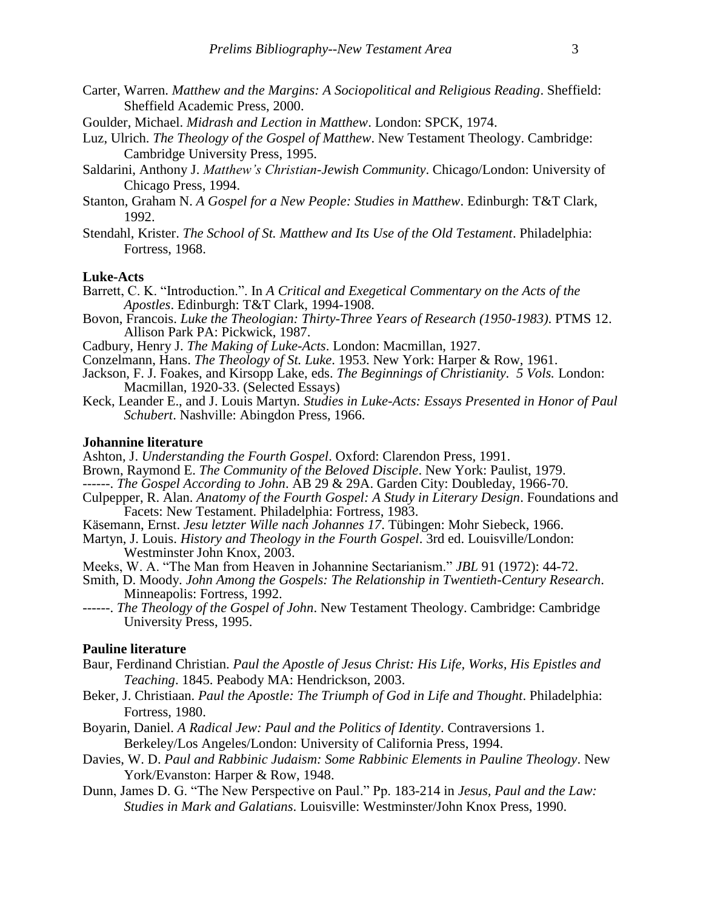- Carter, Warren. *Matthew and the Margins: A Sociopolitical and Religious Reading*. Sheffield: Sheffield Academic Press, 2000.
- Goulder, Michael. *Midrash and Lection in Matthew*. London: SPCK, 1974.
- Luz, Ulrich. *The Theology of the Gospel of Matthew*. New Testament Theology. Cambridge: Cambridge University Press, 1995.
- Saldarini, Anthony J. *Matthew's Christian-Jewish Community*. Chicago/London: University of Chicago Press, 1994.
- Stanton, Graham N. *A Gospel for a New People: Studies in Matthew*. Edinburgh: T&T Clark, 1992.
- Stendahl, Krister. *The School of St. Matthew and Its Use of the Old Testament*. Philadelphia: Fortress, 1968.

# **Luke-Acts**

- Barrett, C. K. "Introduction.". In *A Critical and Exegetical Commentary on the Acts of the Apostles*. Edinburgh: T&T Clark, 1994-1908.
- Bovon, Francois. *Luke the Theologian: Thirty-Three Years of Research (1950-1983)*. PTMS 12. Allison Park PA: Pickwick, 1987.
- Cadbury, Henry J. *The Making of Luke-Acts*. London: Macmillan, 1927.
- Conzelmann, Hans. *The Theology of St. Luke*. 1953. New York: Harper & Row, 1961.
- Jackson, F. J. Foakes, and Kirsopp Lake, eds. *The Beginnings of Christianity. 5 Vols.* London: Macmillan, 1920-33. (Selected Essays)
- Keck, Leander E., and J. Louis Martyn. *Studies in Luke-Acts: Essays Presented in Honor of Paul Schubert*. Nashville: Abingdon Press, 1966.

### **Johannine literature**

- Ashton, J. *Understanding the Fourth Gospel*. Oxford: Clarendon Press, 1991.
- Brown, Raymond E. *The Community of the Beloved Disciple*. New York: Paulist, 1979.
- ------. *The Gospel According to John*. AB 29 & 29A. Garden City: Doubleday, 1966-70.
- Culpepper, R. Alan. *Anatomy of the Fourth Gospel: A Study in Literary Design*. Foundations and Facets: New Testament. Philadelphia: Fortress, 1983.
- Käsemann, Ernst. *Jesu letzter Wille nach Johannes 17*. Tübingen: Mohr Siebeck, 1966.
- Martyn, J. Louis. *History and Theology in the Fourth Gospel*. 3rd ed. Louisville/London: Westminster John Knox, 2003.
- Meeks, W. A. "The Man from Heaven in Johannine Sectarianism." *JBL* 91 (1972): 44-72.
- Smith, D. Moody. *John Among the Gospels: The Relationship in Twentieth-Century Research*. Minneapolis: Fortress, 1992.
- ------. *The Theology of the Gospel of John*. New Testament Theology. Cambridge: Cambridge University Press, 1995.

### **Pauline literature**

- Baur, Ferdinand Christian. *Paul the Apostle of Jesus Christ: His Life, Works, His Epistles and Teaching*. 1845. Peabody MA: Hendrickson, 2003.
- Beker, J. Christiaan. *Paul the Apostle: The Triumph of God in Life and Thought*. Philadelphia: Fortress, 1980.
- Boyarin, Daniel. *A Radical Jew: Paul and the Politics of Identity*. Contraversions 1. Berkeley/Los Angeles/London: University of California Press, 1994.
- Davies, W. D. *Paul and Rabbinic Judaism: Some Rabbinic Elements in Pauline Theology*. New York/Evanston: Harper & Row, 1948.
- Dunn, James D. G. "The New Perspective on Paul." Pp. 183-214 in *Jesus, Paul and the Law: Studies in Mark and Galatians*. Louisville: Westminster/John Knox Press, 1990.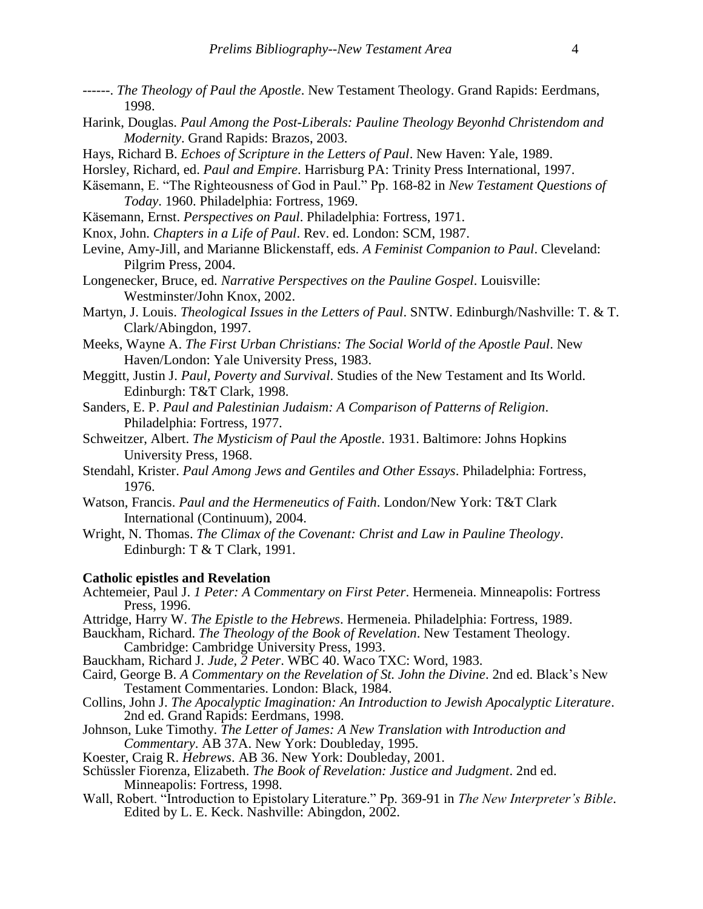- ------. *The Theology of Paul the Apostle*. New Testament Theology. Grand Rapids: Eerdmans, 1998.
- Harink, Douglas. *Paul Among the Post-Liberals: Pauline Theology Beyonhd Christendom and Modernity*. Grand Rapids: Brazos, 2003.
- Hays, Richard B. *Echoes of Scripture in the Letters of Paul*. New Haven: Yale, 1989.
- Horsley, Richard, ed. *Paul and Empire*. Harrisburg PA: Trinity Press International, 1997.
- Käsemann, E. "The Righteousness of God in Paul." Pp. 168-82 in *New Testament Questions of Today*. 1960. Philadelphia: Fortress, 1969.
- Käsemann, Ernst. *Perspectives on Paul*. Philadelphia: Fortress, 1971.
- Knox, John. *Chapters in a Life of Paul*. Rev. ed. London: SCM, 1987.
- Levine, Amy-Jill, and Marianne Blickenstaff, eds. *A Feminist Companion to Paul*. Cleveland: Pilgrim Press, 2004.
- Longenecker, Bruce, ed. *Narrative Perspectives on the Pauline Gospel*. Louisville: Westminster/John Knox, 2002.
- Martyn, J. Louis. *Theological Issues in the Letters of Paul*. SNTW. Edinburgh/Nashville: T. & T. Clark/Abingdon, 1997.
- Meeks, Wayne A. *The First Urban Christians: The Social World of the Apostle Paul*. New Haven/London: Yale University Press, 1983.
- Meggitt, Justin J. *Paul, Poverty and Survival*. Studies of the New Testament and Its World. Edinburgh: T&T Clark, 1998.
- Sanders, E. P. *Paul and Palestinian Judaism: A Comparison of Patterns of Religion*. Philadelphia: Fortress, 1977.
- Schweitzer, Albert. *The Mysticism of Paul the Apostle*. 1931. Baltimore: Johns Hopkins University Press, 1968.
- Stendahl, Krister. *Paul Among Jews and Gentiles and Other Essays*. Philadelphia: Fortress, 1976.
- Watson, Francis. *Paul and the Hermeneutics of Faith*. London/New York: T&T Clark International (Continuum), 2004.
- Wright, N. Thomas. *The Climax of the Covenant: Christ and Law in Pauline Theology*. Edinburgh: T & T Clark, 1991.

#### **Catholic epistles and Revelation**

- Achtemeier, Paul J. *1 Peter: A Commentary on First Peter*. Hermeneia. Minneapolis: Fortress Press, 1996.
- Attridge, Harry W. *The Epistle to the Hebrews*. Hermeneia. Philadelphia: Fortress, 1989.
- Bauckham, Richard. *The Theology of the Book of Revelation*. New Testament Theology. Cambridge: Cambridge University Press, 1993.
- Bauckham, Richard J. *Jude, 2 Peter*. WBC 40. Waco TXC: Word, 1983.
- Caird, George B. *A Commentary on the Revelation of St. John the Divine*. 2nd ed. Black's New Testament Commentaries. London: Black, 1984.
- Collins, John J. *The Apocalyptic Imagination: An Introduction to Jewish Apocalyptic Literature*. 2nd ed. Grand Rapids: Eerdmans, 1998.
- Johnson, Luke Timothy. *The Letter of James: A New Translation with Introduction and Commentary*. AB 37A. New York: Doubleday, 1995.
- Koester, Craig R. *Hebrews*. AB 36. New York: Doubleday, 2001.
- Schüssler Fiorenza, Elizabeth. *The Book of Revelation: Justice and Judgment*. 2nd ed. Minneapolis: Fortress, 1998.
- Wall, Robert. "Introduction to Epistolary Literature." Pp. 369-91 in *The New Interpreter's Bible*. Edited by L. E. Keck. Nashville: Abingdon, 2002.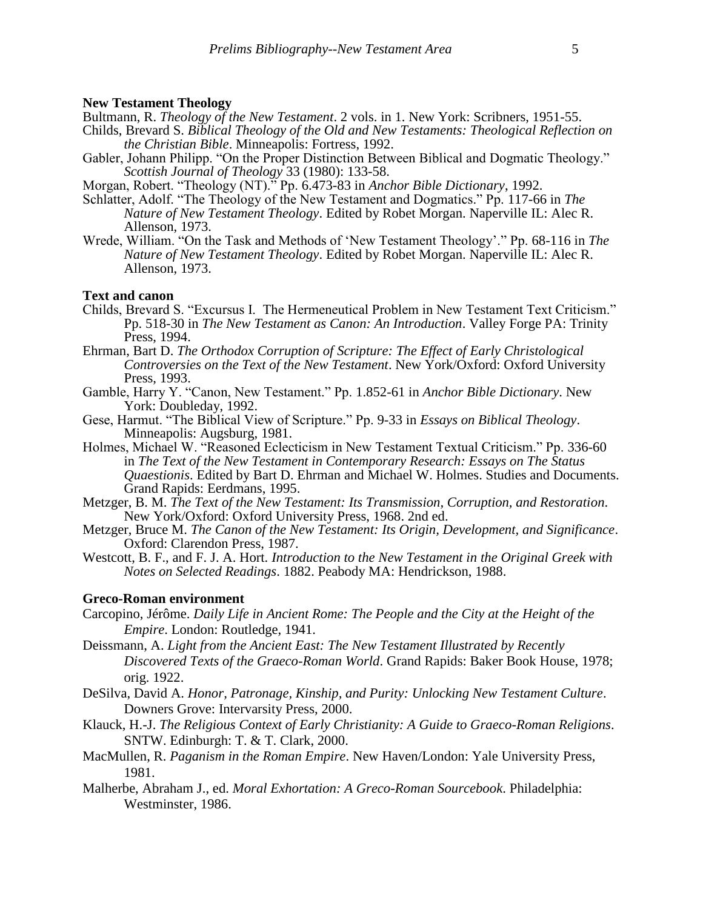### **New Testament Theology**

Bultmann, R. *Theology of the New Testament*. 2 vols. in 1. New York: Scribners, 1951-55. Childs, Brevard S. *Biblical Theology of the Old and New Testaments: Theological Reflection on* 

- *the Christian Bible*. Minneapolis: Fortress, 1992. Gabler, Johann Philipp. "On the Proper Distinction Between Biblical and Dogmatic Theology." *Scottish Journal of Theology* 33 (1980): 133-58.
- Morgan, Robert. "Theology (NT)." Pp. 6.473-83 in *Anchor Bible Dictionary*, 1992.
- Schlatter, Adolf. "The Theology of the New Testament and Dogmatics." Pp. 117-66 in *The Nature of New Testament Theology*. Edited by Robet Morgan. Naperville IL: Alec R. Allenson, 1973.
- Wrede, William. "On the Task and Methods of 'New Testament Theology'." Pp. 68-116 in *The Nature of New Testament Theology*. Edited by Robet Morgan. Naperville IL: Alec R. Allenson, 1973.

### **Text and canon**

- Childs, Brevard S. "Excursus I. The Hermeneutical Problem in New Testament Text Criticism." Pp. 518-30 in *The New Testament as Canon: An Introduction*. Valley Forge PA: Trinity Press, 1994.
- Ehrman, Bart D. *The Orthodox Corruption of Scripture: The Effect of Early Christological Controversies on the Text of the New Testament*. New York/Oxford: Oxford University Press, 1993.
- Gamble, Harry Y. "Canon, New Testament." Pp. 1.852-61 in *Anchor Bible Dictionary*. New York: Doubleday, 1992.
- Gese, Harmut. "The Biblical View of Scripture." Pp. 9-33 in *Essays on Biblical Theology*. Minneapolis: Augsburg, 1981.
- Holmes, Michael W. "Reasoned Eclecticism in New Testament Textual Criticism." Pp. 336-60 in *The Text of the New Testament in Contemporary Research: Essays on The Status Quaestionis*. Edited by Bart D. Ehrman and Michael W. Holmes. Studies and Documents. Grand Rapids: Eerdmans, 1995.
- Metzger, B. M. *The Text of the New Testament: Its Transmission, Corruption, and Restoration*. New York/Oxford: Oxford University Press, 1968. 2nd ed.
- Metzger, Bruce M. *The Canon of the New Testament: Its Origin, Development, and Significance*. Oxford: Clarendon Press, 1987.
- Westcott, B. F., and F. J. A. Hort. *Introduction to the New Testament in the Original Greek with Notes on Selected Readings*. 1882. Peabody MA: Hendrickson, 1988.

## **Greco-Roman environment**

- Carcopino, Jérôme. *Daily Life in Ancient Rome: The People and the City at the Height of the Empire*. London: Routledge, 1941.
- Deissmann, A. *Light from the Ancient East: The New Testament Illustrated by Recently Discovered Texts of the Graeco-Roman World*. Grand Rapids: Baker Book House, 1978; orig. 1922.
- DeSilva, David A. *Honor, Patronage, Kinship, and Purity: Unlocking New Testament Culture*. Downers Grove: Intervarsity Press, 2000.
- Klauck, H.-J. *The Religious Context of Early Christianity: A Guide to Graeco-Roman Religions*. SNTW. Edinburgh: T. & T. Clark, 2000.
- MacMullen, R. *Paganism in the Roman Empire*. New Haven/London: Yale University Press, 1981.
- Malherbe, Abraham J., ed. *Moral Exhortation: A Greco-Roman Sourcebook*. Philadelphia: Westminster, 1986.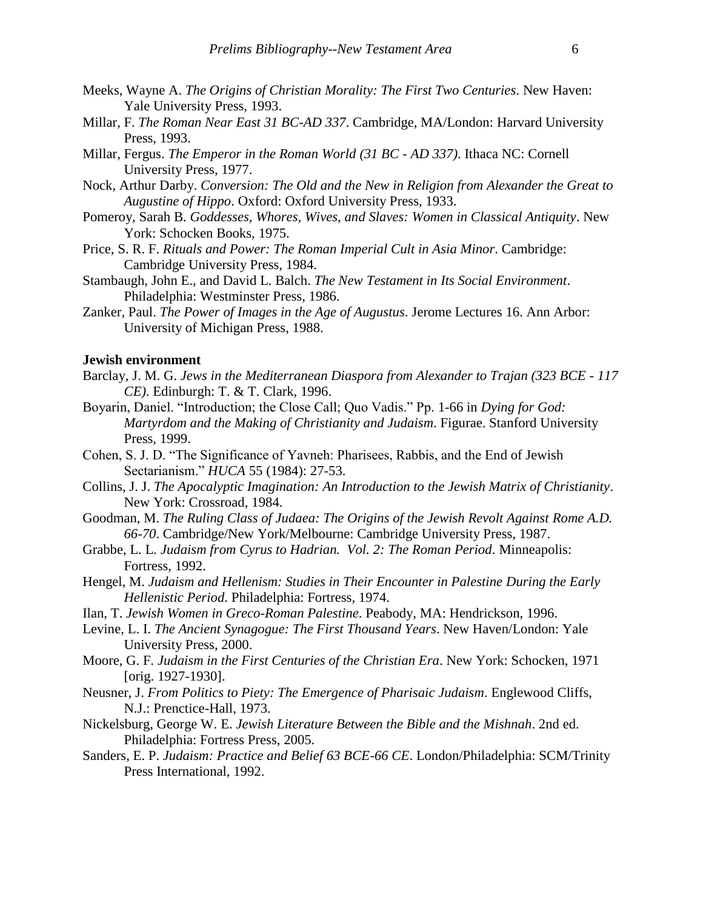- Meeks, Wayne A. *The Origins of Christian Morality: The First Two Centuries*. New Haven: Yale University Press, 1993.
- Millar, F. *The Roman Near East 31 BC-AD 337*. Cambridge, MA/London: Harvard University Press, 1993.
- Millar, Fergus. *The Emperor in the Roman World (31 BC - AD 337)*. Ithaca NC: Cornell University Press, 1977.
- Nock, Arthur Darby. *Conversion: The Old and the New in Religion from Alexander the Great to Augustine of Hippo*. Oxford: Oxford University Press, 1933.
- Pomeroy, Sarah B. *Goddesses, Whores, Wives, and Slaves: Women in Classical Antiquity*. New York: Schocken Books, 1975.
- Price, S. R. F. *Rituals and Power: The Roman Imperial Cult in Asia Minor*. Cambridge: Cambridge University Press, 1984.
- Stambaugh, John E., and David L. Balch. *The New Testament in Its Social Environment*. Philadelphia: Westminster Press, 1986.
- Zanker, Paul. *The Power of Images in the Age of Augustus*. Jerome Lectures 16. Ann Arbor: University of Michigan Press, 1988.

# **Jewish environment**

- Barclay, J. M. G. *Jews in the Mediterranean Diaspora from Alexander to Trajan (323 BCE - 117 CE)*. Edinburgh: T. & T. Clark, 1996.
- Boyarin, Daniel. "Introduction; the Close Call; Quo Vadis." Pp. 1-66 in *Dying for God: Martyrdom and the Making of Christianity and Judaism*. Figurae. Stanford University Press, 1999.
- Cohen, S. J. D. "The Significance of Yavneh: Pharisees, Rabbis, and the End of Jewish Sectarianism." *HUCA* 55 (1984): 27-53.
- Collins, J. J. *The Apocalyptic Imagination: An Introduction to the Jewish Matrix of Christianity*. New York: Crossroad, 1984.
- Goodman, M. *The Ruling Class of Judaea: The Origins of the Jewish Revolt Against Rome A.D. 66-70*. Cambridge/New York/Melbourne: Cambridge University Press, 1987.
- Grabbe, L. L. *Judaism from Cyrus to Hadrian. Vol. 2: The Roman Period*. Minneapolis: Fortress, 1992.
- Hengel, M. *Judaism and Hellenism: Studies in Their Encounter in Palestine During the Early Hellenistic Period*. Philadelphia: Fortress, 1974.
- Ilan, T. *Jewish Women in Greco-Roman Palestine*. Peabody, MA: Hendrickson, 1996.
- Levine, L. I. *The Ancient Synagogue: The First Thousand Years*. New Haven/London: Yale University Press, 2000.
- Moore, G. F. *Judaism in the First Centuries of the Christian Era*. New York: Schocken, 1971 [orig. 1927-1930].
- Neusner, J. *From Politics to Piety: The Emergence of Pharisaic Judaism*. Englewood Cliffs, N.J.: Prenctice-Hall, 1973.
- Nickelsburg, George W. E. *Jewish Literature Between the Bible and the Mishnah*. 2nd ed. Philadelphia: Fortress Press, 2005.
- Sanders, E. P. *Judaism: Practice and Belief 63 BCE-66 CE*. London/Philadelphia: SCM/Trinity Press International, 1992.